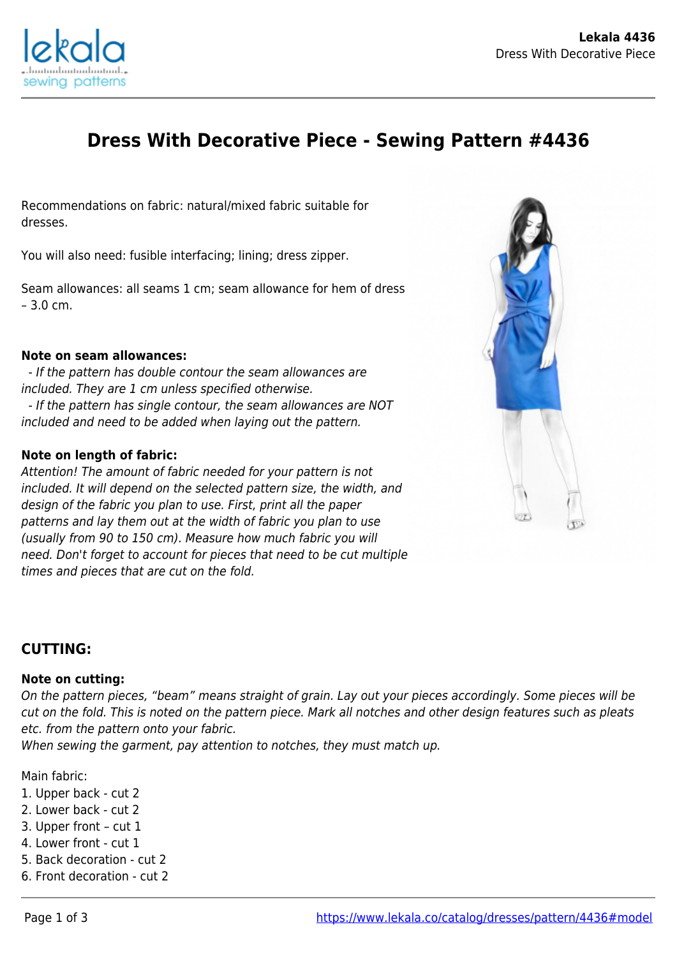

# **Dress With Decorative Piece - Sewing Pattern #4436**

Recommendations on fabric: natural/mixed fabric suitable for dresses.

You will also need: fusible interfacing; lining; dress zipper.

Seam allowances: all seams 1 cm; seam allowance for hem of dress – 3.0 cm.

#### **Note on seam allowances:**

 - If the pattern has double contour the seam allowances are included. They are 1 cm unless specified otherwise. - If the pattern has single contour, the seam allowances are NOT included and need to be added when laying out the pattern.

### **Note on length of fabric:**

Attention! The amount of fabric needed for your pattern is not included. It will depend on the selected pattern size, the width, and design of the fabric you plan to use. First, print all the paper patterns and lay them out at the width of fabric you plan to use (usually from 90 to 150 cm). Measure how much fabric you will need. Don't forget to account for pieces that need to be cut multiple times and pieces that are cut on the fold.



## **CUTTING:**

#### **Note on cutting:**

On the pattern pieces, "beam" means straight of grain. Lay out your pieces accordingly. Some pieces will be cut on the fold. This is noted on the pattern piece. Mark all notches and other design features such as pleats etc. from the pattern onto your fabric.

When sewing the garment, pay attention to notches, they must match up.

Main fabric:

- 1. Upper back cut 2
- 2. Lower back cut 2
- 3. Upper front cut 1
- 4. Lower front cut 1
- 5. Back decoration cut 2
- 6. Front decoration cut 2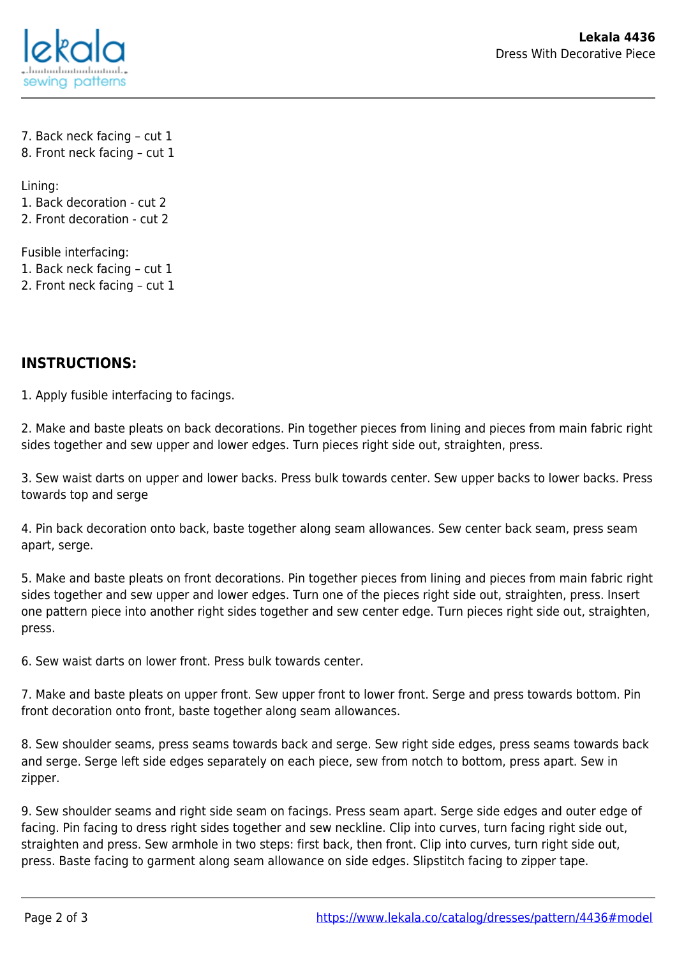

7. Back neck facing – cut 1 8. Front neck facing – cut 1

Lining: 1. Back decoration - cut 2 2. Front decoration - cut 2

Fusible interfacing: 1. Back neck facing – cut 1 2. Front neck facing – cut 1

## **INSTRUCTIONS:**

1. Apply fusible interfacing to facings.

2. Make and baste pleats on back decorations. Pin together pieces from lining and pieces from main fabric right sides together and sew upper and lower edges. Turn pieces right side out, straighten, press.

3. Sew waist darts on upper and lower backs. Press bulk towards center. Sew upper backs to lower backs. Press towards top and serge

4. Pin back decoration onto back, baste together along seam allowances. Sew center back seam, press seam apart, serge.

5. Make and baste pleats on front decorations. Pin together pieces from lining and pieces from main fabric right sides together and sew upper and lower edges. Turn one of the pieces right side out, straighten, press. Insert one pattern piece into another right sides together and sew center edge. Turn pieces right side out, straighten, press.

6. Sew waist darts on lower front. Press bulk towards center.

7. Make and baste pleats on upper front. Sew upper front to lower front. Serge and press towards bottom. Pin front decoration onto front, baste together along seam allowances.

8. Sew shoulder seams, press seams towards back and serge. Sew right side edges, press seams towards back and serge. Serge left side edges separately on each piece, sew from notch to bottom, press apart. Sew in zipper.

9. Sew shoulder seams and right side seam on facings. Press seam apart. Serge side edges and outer edge of facing. Pin facing to dress right sides together and sew neckline. Clip into curves, turn facing right side out, straighten and press. Sew armhole in two steps: first back, then front. Clip into curves, turn right side out, press. Baste facing to garment along seam allowance on side edges. Slipstitch facing to zipper tape.